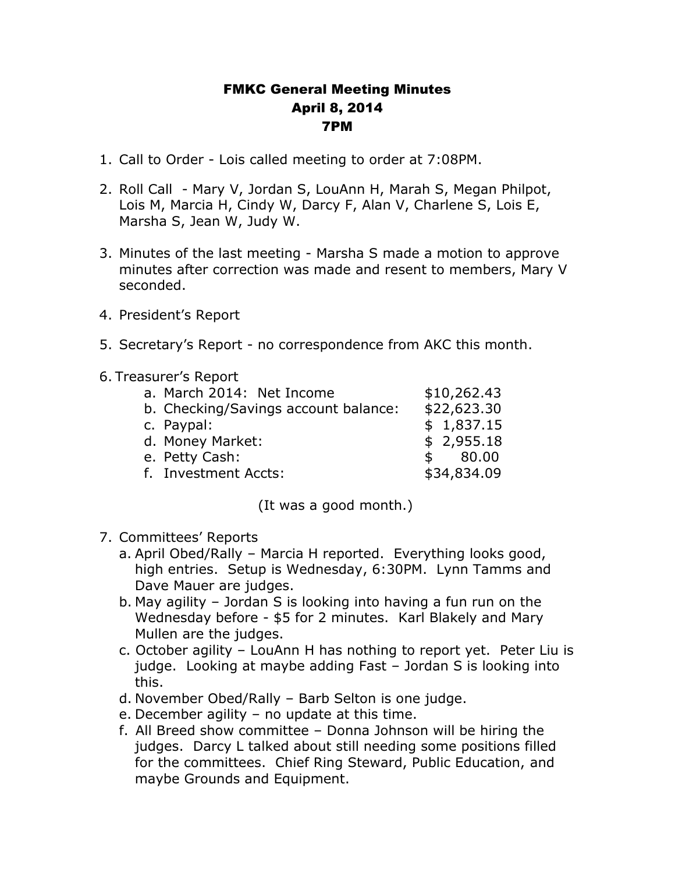## FMKC General Meeting Minutes April 8, 2014 7PM

- 1. Call to Order Lois called meeting to order at 7:08PM.
- 2. Roll Call Mary V, Jordan S, LouAnn H, Marah S, Megan Philpot, Lois M, Marcia H, Cindy W, Darcy F, Alan V, Charlene S, Lois E, Marsha S, Jean W, Judy W.
- 3. Minutes of the last meeting Marsha S made a motion to approve minutes after correction was made and resent to members, Mary V seconded.
- 4. President's Report
- 5. Secretary's Report no correspondence from AKC this month.
- 6. Treasurer's Report

| a. March 2014: Net Income            | \$10,262.43 |
|--------------------------------------|-------------|
| b. Checking/Savings account balance: | \$22,623.30 |
| c. Paypal:                           | \$1,837.15  |
| d. Money Market:                     | \$2,955.18  |
| e. Petty Cash:                       | \$80.00     |
| f. Investment Accts:                 | \$34,834.09 |
|                                      |             |

(It was a good month.)

- 7. Committees' Reports
	- a. April Obed/Rally Marcia H reported. Everything looks good, high entries. Setup is Wednesday, 6:30PM. Lynn Tamms and Dave Mauer are judges.
	- b. May agility Jordan S is looking into having a fun run on the Wednesday before - \$5 for 2 minutes. Karl Blakely and Mary Mullen are the judges.
	- c. October agility LouAnn H has nothing to report yet. Peter Liu is judge. Looking at maybe adding Fast – Jordan S is looking into this.
	- d. November Obed/Rally Barb Selton is one judge.
	- e. December agility no update at this time.
	- f. All Breed show committee Donna Johnson will be hiring the judges. Darcy L talked about still needing some positions filled for the committees. Chief Ring Steward, Public Education, and maybe Grounds and Equipment.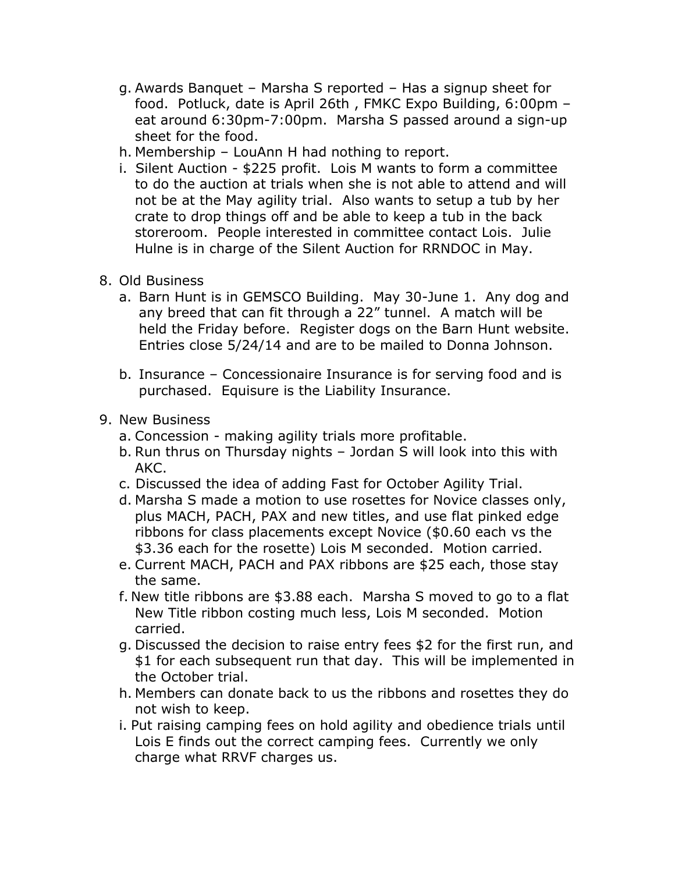- g. Awards Banquet Marsha S reported Has a signup sheet for food. Potluck, date is April 26th , FMKC Expo Building, 6:00pm – eat around 6:30pm-7:00pm. Marsha S passed around a sign-up sheet for the food.
- h. Membership LouAnn H had nothing to report.
- i. Silent Auction \$225 profit. Lois M wants to form a committee to do the auction at trials when she is not able to attend and will not be at the May agility trial. Also wants to setup a tub by her crate to drop things off and be able to keep a tub in the back storeroom. People interested in committee contact Lois. Julie Hulne is in charge of the Silent Auction for RRNDOC in May.
- 8. Old Business
	- a. Barn Hunt is in GEMSCO Building. May 30-June 1. Any dog and any breed that can fit through a 22" tunnel. A match will be held the Friday before. Register dogs on the Barn Hunt website. Entries close 5/24/14 and are to be mailed to Donna Johnson.
	- b. Insurance Concessionaire Insurance is for serving food and is purchased. Equisure is the Liability Insurance.
- 9. New Business
	- a. Concession making agility trials more profitable.
	- b. Run thrus on Thursday nights Jordan S will look into this with AKC.
	- c. Discussed the idea of adding Fast for October Agility Trial.
	- d. Marsha S made a motion to use rosettes for Novice classes only, plus MACH, PACH, PAX and new titles, and use flat pinked edge ribbons for class placements except Novice (\$0.60 each vs the \$3.36 each for the rosette) Lois M seconded. Motion carried.
	- e. Current MACH, PACH and PAX ribbons are \$25 each, those stay the same.
	- f. New title ribbons are \$3.88 each. Marsha S moved to go to a flat New Title ribbon costing much less, Lois M seconded. Motion carried.
	- g. Discussed the decision to raise entry fees \$2 for the first run, and \$1 for each subsequent run that day. This will be implemented in the October trial.
	- h. Members can donate back to us the ribbons and rosettes they do not wish to keep.
	- i. Put raising camping fees on hold agility and obedience trials until Lois E finds out the correct camping fees. Currently we only charge what RRVF charges us.